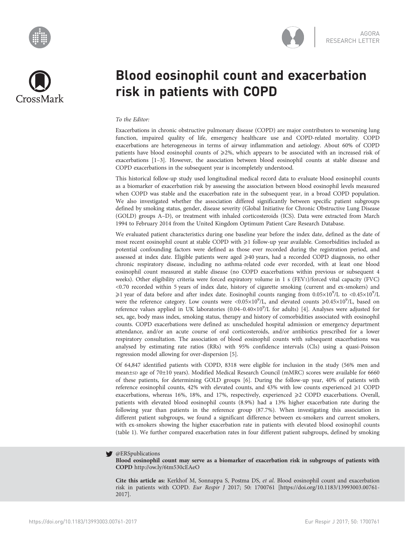



# Blood eosinophil count and exacerbation risk in patients with COPD

## To the Editor:

Exacerbations in chronic obstructive pulmonary disease (COPD) are major contributors to worsening lung function, impaired quality of life, emergency healthcare use and COPD-related mortality. COPD exacerbations are heterogeneous in terms of airway inflammation and aetiology. About 60% of COPD patients have blood eosinophil counts of  $\geq$ 2%, which appears to be associated with an increased risk of exacerbations [\[1](#page-2-0)–[3\]](#page-2-0). However, the association between blood eosinophil counts at stable disease and COPD exacerbations in the subsequent year is incompletely understood.

This historical follow-up study used longitudinal medical record data to evaluate blood eosinophil counts as a biomarker of exacerbation risk by assessing the association between blood eosinophil levels measured when COPD was stable and the exacerbation rate in the subsequent year, in a broad COPD population. We also investigated whether the association differed significantly between specific patient subgroups defined by smoking status, gender, disease severity (Global Initiative for Chronic Obstructive Lung Disease (GOLD) groups A–D), or treatment with inhaled corticosteroids (ICS). Data were extracted from March 1994 to February 2014 from the United Kingdom Optimum Patient Care Research Database.

We evaluated patient characteristics during one baseline year before the index date, defined as the date of most recent eosinophil count at stable COPD with  $\geq 1$  follow-up year available. Comorbidities included as potential confounding factors were defined as those ever recorded during the registration period, and assessed at index date. Eligible patients were aged ≥40 years, had a recorded COPD diagnosis, no other chronic respiratory disease, including no asthma-related code ever recorded, with at least one blood eosinophil count measured at stable disease (no COPD exacerbations within previous or subsequent 4 weeks). Other eligibility criteria were forced expiratory volume in 1 s (FEV1)/forced vital capacity (FVC) <0.70 recorded within 5 years of index date, history of cigarette smoking (current and ex-smokers) and  $\geq$ 1 year of data before and after index date. Eosinophil counts ranging from 0.05×10<sup>9</sup>/L to <0.45×10<sup>9</sup>/L were the reference category. Low counts were <0.05×10<sup>9</sup>/L, and elevated counts  $\geq 0.45 \times 10^9$ /L, based on reference values applied in UK laboratories (0.04-0.40×10<sup>9</sup>/L for adults) [\[4](#page-2-0)]. Analyses were adjusted for sex, age, body mass index, smoking status, therapy and history of comorbidities associated with eosinophil counts. COPD exacerbations were defined as: unscheduled hospital admission or emergency department attendance, and/or an acute course of oral corticosteroids, and/or antibiotics prescribed for a lower respiratory consultation. The association of blood eosinophil counts with subsequent exacerbations was analysed by estimating rate ratios (RRs) with 95% confidence intervals (CIs) using a quasi-Poisson regression model allowing for over-dispersion [\[5](#page-3-0)].

Of 64,847 identified patients with COPD, 8318 were eligible for inclusion in the study (56% men and mean±SD age of 70±10 years). Modified Medical Research Council (mMRC) scores were available for 6660 of these patients, for determining GOLD groups [[6](#page-3-0)]. During the follow-up year, 40% of patients with reference eosinophil counts,  $42\%$  with elevated counts, and  $43\%$  with low counts experienced  $\geqslant$  1 COPD exacerbations, whereas 16%, 18%, and 17%, respectively, experienced ≥2 COPD exacerbations. Overall, patients with elevated blood eosinophil counts (8.9%) had a 13% higher exacerbation rate during the following year than patients in the reference group (87.7%). When investigating this association in different patient subgroups, we found a significant difference between ex-smokers and current smokers, with ex-smokers showing the higher exacerbation rate in patients with elevated blood eosinophil counts [\(table 1\)](#page-1-0). We further compared exacerbation rates in four different patient subgroups, defined by smoking

#### @ERSpublications v

Blood eosinophil count may serve as a biomarker of exacerbation risk in subgroups of patients with COPD <http://ow.ly/6tm530cEAeO>

Cite this article as: Kerkhof M, Sonnappa S, Postma DS, et al. Blood eosinophil count and exacerbation risk in patients with COPD. Eur Respir J 2017; 50: 1700761 [\[https://doi.org/10.1183/13993003.00761-](https://doi.org/10.1183/13993003.00761-2017) [2017\].](https://doi.org/10.1183/13993003.00761-2017)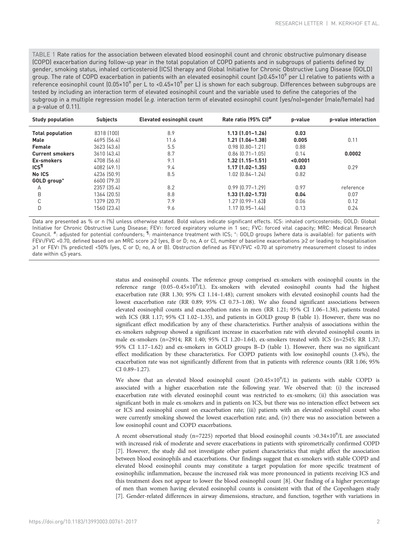<span id="page-1-0"></span>TABLE 1 Rate ratios for the association between elevated blood eosinophil count and chronic obstructive pulmonary disease (COPD) exacerbation during follow-up year in the total population of COPD patients and in subgroups of patients defined by gender, smoking status, inhaled corticosteroid (ICS) therapy and Global Initiative for Chronic Obstructive Lung Disease (GOLD) group. The rate of COPD exacerbation in patients with an elevated eosinophil count  $(≥0.45×10°)$  per L) relative to patients with a reference eosinophil count  $(0.05\times10^9$  per L to <0.45×10<sup>9</sup> per L) is shown for each subgroup. Differences between subgroups are tested by including an interaction term of elevated eosinophil count and the variable used to define the categories of the subgroup in a multiple regression model (e.g. interaction term of elevated eosinophil count (yes/no)×gender (male/female) had a p-value of 0.11).

| <b>Study population</b> | <b>Subjects</b> | Elevated eosinophil count | Rate ratio (95% CI)#   | p-value  | p-value interaction |
|-------------------------|-----------------|---------------------------|------------------------|----------|---------------------|
| <b>Total population</b> | 8318 (100)      | 8.9                       | $1.13$ $(1.01 - 1.26)$ | 0.03     |                     |
| Male                    | 4695 (56.4)     | 11.6                      | $1.21$ $(1.06 - 1.38)$ | 0.005    | 0.11                |
| Female                  | 3623 [43.6]     | 5.5                       | $0.98$ $(0.80 - 1.21)$ | 0.88     |                     |
| <b>Current smokers</b>  | 3610 [43.4]     | 8.7                       | $0.86$ $[0.71 - 1.05]$ | 0.14     | 0.0002              |
| Ex-smokers              | 4708 [56.6]     | 9.1                       | $1.32$ $(1.15 - 1.51)$ | < 0.0001 |                     |
| ICS <sup>T</sup>        | 4082 (49.1)     | 9.4                       | $1.17$ $(1.02 - 1.35)$ | 0.03     | 0.29                |
| No ICS                  | 4236 [50.9]     | 8.5                       | 1.02 (0.84-1.24)       | 0.82     |                     |
| GOLD group <sup>+</sup> | 6600 [79.3]     |                           |                        |          |                     |
| A                       | 2357 (35.4)     | 8.2                       | $0.99$ $[0.77 - 1.29]$ | 0.97     | reference           |
| B                       | 1364 (20.5)     | 8.8                       | 1.33 (1.02-1.73)       | 0.04     | 0.07                |
| C                       | 1379 (20.7)     | 7.9                       | 1.27 (0.99-1.63)       | 0.06     | 0.12                |
| D                       | 1560 (23.4)     | 9.6                       | 1.17 (0.95-1.44)       | 0.13     | 0.24                |

Data are presented as % or n (%) unless otherwise stated. Bold values indicate significant effects. ICS: inhaled corticosteroids; GOLD: Global Initiative for Chronic Obstructive Lung Disease; FEV1: forced expiratory volume in 1 sec; FVC: forced vital capacity; MRC: Medical Research Council. #: adjusted for potential confounders; 1: maintenance treatment with ICS; \*: GOLD groups (where data is available): for patients with FEV1/FVC <0.70, defined based on an MRC score ≥2 (yes, B or D; no, A or C), number of baseline exacerbations ≥2 or leading to hospitalisation ≥1 or FEV1 (% predicted) <50% (yes, C or D; no, A or B). Obstruction defined as FEV1/FVC <0.70 at spirometry measurement closest to index date within  $\leqslant$ 5 years.

> status and eosinophil counts. The reference group comprised ex-smokers with eosinophil counts in the reference range (0.05-0.45×10<sup>9</sup>/L). Ex-smokers with elevated eosinophil counts had the highest exacerbation rate (RR 1.30; 95% CI 1.14–1.48); current smokers with elevated eosinophil counts had the lowest exacerbation rate (RR 0.89; 95% CI 0.73–1.08). We also found significant associations between elevated eosinophil counts and exacerbation rates in men (RR 1.21; 95% CI 1.06–1.38), patients treated with ICS (RR 1.17; 95% CI 1.02–1.35), and patients in GOLD group B (table 1). However, there was no significant effect modification by any of these characteristics. Further analysis of associations within the ex-smokers subgroup showed a significant increase in exacerbation rate with elevated eosinophil counts in male ex-smokers (n=2914; RR 1.40; 95% CI 1.20–1.64), ex-smokers treated with ICS (n=2545; RR 1.37; 95% CI 1.17–1.62) and ex-smokers in GOLD groups B–D (table 1). However, there was no significant effect modification by these characteristics. For COPD patients with low eosinophil counts (3.4%), the exacerbation rate was not significantly different from that in patients with reference counts (RR 1.06; 95% CI 0.89–1.27).

> We show that an elevated blood eosinophil count  $(\geq 0.45 \times 10^9/L)$  in patients with stable COPD is associated with a higher exacerbation rate the following year. We observed that: (i) the increased exacerbation rate with elevated eosinophil count was restricted to ex-smokers; (ii) this association was significant both in male ex-smokers and in patients on ICS, but there was no interaction effect between sex or ICS and eosinophil count on exacerbation rate; (iii) patients with an elevated eosinophil count who were currently smoking showed the lowest exacerbation rate; and, (iv) there was no association between a low eosinophil count and COPD exacerbations.

> A recent observational study (n=7225) reported that blood eosinophil counts >0.34×10<sup>9</sup>/L are associated with increased risk of moderate and severe exacerbations in patients with spirometrically confirmed COPD [\[7\]](#page-3-0). However, the study did not investigate other patient characteristics that might affect the association between blood eosinophils and exacerbations. Our findings suggest that ex-smokers with stable COPD and elevated blood eosinophil counts may constitute a target population for more specific treatment of eosinophilic inflammation, because the increased risk was more pronounced in patients receiving ICS and this treatment does not appear to lower the blood eosinophil count [[8](#page-3-0)]. Our finding of a higher percentage of men than women having elevated eosinophil counts is consistent with that of the Copenhagen study [\[7\]](#page-3-0). Gender-related differences in airway dimensions, structure, and function, together with variations in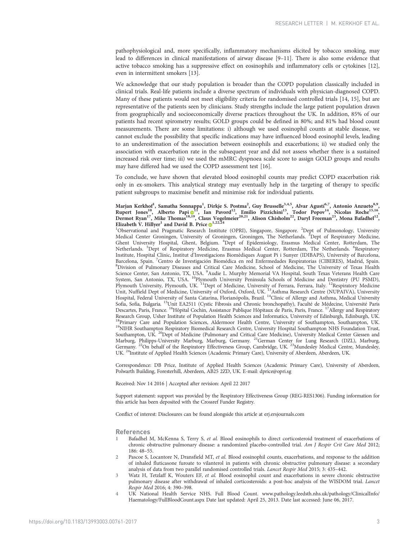<span id="page-2-0"></span>pathophysiological and, more specifically, inflammatory mechanisms elicited by tobacco smoking, may lead to differences in clinical manifestations of airway disease [\[9](#page-3-0)–[11\]](#page-3-0). There is also some evidence that active tobacco smoking has a suppressive effect on eosinophils and inflammatory cells or cytokines [[12](#page-3-0)], even in intermittent smokers [\[13](#page-3-0)].

We acknowledge that our study population is broader than the COPD population classically included in clinical trials. Real-life patients include a diverse spectrum of individuals with physician-diagnosed COPD. Many of these patients would not meet eligibility criteria for randomised controlled trials [[14](#page-3-0), [15\]](#page-3-0), but are representative of the patients seen by clinicians. Study strengths include the large patient population drawn from geographically and socioeconomically diverse practices throughout the UK. In addition, 85% of our patients had recent spirometry results; GOLD groups could be defined in 80%; and 81% had blood count measurements. There are some limitations: i) although we used eosinophil counts at stable disease, we cannot exclude the possibility that specific indications may have influenced blood eosinophil levels, leading to an underestimation of the association between eosinophils and exacerbations; ii) we studied only the association with exacerbation rate in the subsequent year and did not assess whether there is a sustained increased risk over time; iii) we used the mMRC dyspnoea scale score to assign GOLD groups and results may have differed had we used the COPD assessment test [[16\]](#page-3-0).

To conclude, we have shown that elevated blood eosinophil counts may predict COPD exacerbation risk only in ex-smokers. This analytical strategy may eventually help in the targeting of therapy to specific patient subgroups to maximise benefit and minimise risk for individual patients.

## Marjan Kerkhof<sup>1</sup>, Samatha Sonnappa<sup>1</sup>, Dirkje S. Postma<sup>2</sup>, Guy Brusselle<sup>3,4,5</sup>, Alvar Agustí<sup>6,7</sup>, Antonio Anzueto<sup>8,9</sup>, Rupert Jones<sup>10</sup>, Alberto Papi <sup>1</sup>, Ian Pavord<sup>12</sup>, Emilio Pizzichini<sup>13</sup>, Todor Popov<sup>14</sup>, Nicolas Roche<sup>15,16</sup>, Dermot Ryan<sup>17</sup>, Mike Thomas<sup>18[,19](http://orcid.org/0000-0002-6924-4500)</sup>, Claus Vogelmeier<sup>20,21</sup>, Alison Chisholm<sup>22</sup>, Daryl Freeman<sup>23</sup>, Mona Bafadhel<sup>12</sup>, Elizabeth V. Hillyer<sup>1</sup> and David B. Price  $\bullet$ <sup>1,22,24</sup>

<sup>1</sup>Observational and Pragmatic Research Institute (OPRI), Singapore, Singapore. <sup>2</sup>Dept of Pulmonology, University Medical Center Groningen, University of Groningen, Groningen, The Netherlands. <sup>3</sup>Dept of Respiratory Medicine, Ghent University Hospital, Ghent, Belgium. <sup>4</sup> Dept of Epidemiology, Erasmus Medical Center, Rotterdam, The Netherlands. <sup>5</sup>Dept of Respiratory Medicine, Erasmus Medical Center, Rotterdam, The Netherlands. <sup>6</sup>Respiratory Institute, Hospital Clínic, Institut d'Investigacions Biomèdiques August Pi i Sunyer (IDIBAPS), University of Barcelona, Barcelona, Spain. <sup>7</sup>Centro de Investigación Biomédica en red Enfermedades Respiratorias (CIBERES), Madrid, Spain.<br><sup>8</sup>Division of Pulmonary Diseases and Critical Care Medicine, School of Medicine, The University of Texas H <sup>8</sup>Division of Pulmonary Diseases and Critical Care Medicine, School of Medicine, The University of Texas Health Science Center, San Antonio, TX, USA. <sup>9</sup>Audie L. Murphy Memorial VA Hospital, South Texas Veterans Health Care<br>System, San Antonio, TX, USA. <sup>10</sup>Plymouth University Peninsula Schools of Medicine and Dentistry (PU PSMD), Plymouth University, Plymouth, UK. <sup>11</sup>Dept of Medicine, University of Ferrara, Ferrara, Italy. <sup>12</sup>Respiratory Medicine Unit, Nuffield Dept of Medicine, University of Oxford, Oxford, UK. 13Asthma Research Centre (NUPAIVA), University Hospital, Federal University of Santa Catarina, Florianópolis, Brazil. 14Clinic of Allergy and Asthma, Medical University Sofia, Sofia, Bulgaria. <sup>15</sup>Unit EA2511 (Cystic Fibrosis and Chronic bronchopathy), Faculté de Médecine, Université Paris Descartes, Paris, France. 16Hôpital Cochin, Assistance Publique Hôpitaux de Paris, Paris, France. 17Allergy and Respiratory Research Group, Usher Institute of Population Health Sciences and Informatics, University of Edinburgh, Edinburgh, UK.  $^{18}$ Primary Care and Population Sciences, Aldermoor Health Centre, University of Southampton, Southampton, UK.  $^{19}$ NIHR Southampton Respiratory Biomedical Research Centre, University Hospital Southampton NHS Foundatio Southampton, UK. <sup>20</sup>Dept of Medicine (Pulmonary and Critical Care Medicine), University Medical Center Giessen and Marburg, Philipps-University Marburg, Marburg, Germany. 21German Center for Lung Research (DZL), Marburg, Germany. <sup>22</sup>On behalf of the Respiratory Effectiveness Group, Cambridge, UK. <sup>23</sup>Mundesley Medical Centre, Mundesley, UK. 24Institute of Applied Health Sciences (Academic Primary Care), University of Aberdeen, Aberdeen, UK.

Correspondence: DB Price, Institute of Applied Health Sciences (Academic Primary Care), University of Aberdeen, Polwarth Building, Foresterhill, Aberdeen, AB25 2ZD, UK. E-mail: [dprice@opri.sg](mailto:dprice@opri.sg)

Received: Nov 14 2016 | Accepted after revision: April 22 2017

Support statement: support was provided by the Respiratory Effectiveness Group (REG-RES1306). Funding information for this article has been deposited with the [Crossref Funder Registry.](https://www.crossref.org/services/funder-registry/)

Conflict of interest: Disclosures can be found alongside this article at<erj.ersjournals.com>

### References

- Bafadhel M, McKenna S, Terry S, et al. Blood eosinophils to direct corticosteroid treatment of exacerbations of chronic obstructive pulmonary disease: a randomized placebo-controlled trial. Am J Respir Crit Care Med 2012; 186: 48–55.
- Pascoe S, Locantore N, Dransfield MT, et al. Blood eosinophil counts, exacerbations, and response to the addition of inhaled fluticasone furoate to vilanterol in patients with chronic obstructive pulmonary disease: a secondary analysis of data from two parallel randomised controlled trials. Lancet Respir Med 2015; 3: 435–442.
- 3 Watz H, Tetzlaff K, Wouters EF, et al. Blood eosinophil count and exacerbations in severe chronic obstructive pulmonary disease after withdrawal of inhaled corticosteroids: a post-hoc analysis of the WISDOM trial. Lancet Respir Med 2016; 4: 390–398.
- 4 UK National Health Service NHS. Full Blood Count. [www.pathology.leedsth.nhs.uk/pathology/ClinicalInfo/](http://www.pathology.leedsth.nhs.uk/pathology/ClinicalInfo/Haematology/FullBloodCount.aspx) [Haematology/FullBloodCount.aspx](http://www.pathology.leedsth.nhs.uk/pathology/ClinicalInfo/Haematology/FullBloodCount.aspx) Date last updated: April 25, 2013. Date last accessed: June 06, 2017.